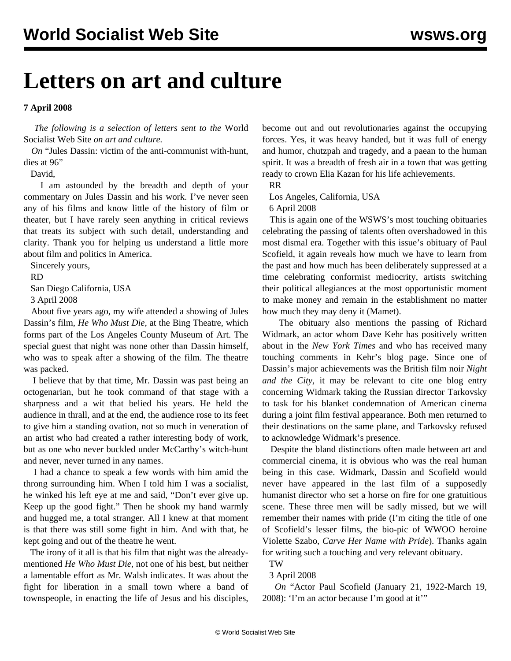## **Letters on art and culture**

## **7 April 2008**

 *The following is a selection of letters sent to the* World Socialist Web Site *on art and culture.*

 *On* ["Jules Dassin: victim of the anti-communist with-hunt,](dass-a03.shtml) [dies at 96"](dass-a03.shtml)

David,

 I am astounded by the breadth and depth of your commentary on Jules Dassin and his work. I've never seen any of his films and know little of the history of film or theater, but I have rarely seen anything in critical reviews that treats its subject with such detail, understanding and clarity. Thank you for helping us understand a little more about film and politics in America.

Sincerely yours,

RD

 San Diego California, USA 3 April 2008

 About five years ago, my wife attended a showing of Jules Dassin's film, *He Who Must Die*, at the Bing Theatre, which forms part of the Los Angeles County Museum of Art. The special guest that night was none other than Dassin himself, who was to speak after a showing of the film. The theatre was packed.

 I believe that by that time, Mr. Dassin was past being an octogenarian, but he took command of that stage with a sharpness and a wit that belied his years. He held the audience in thrall, and at the end, the audience rose to its feet to give him a standing ovation, not so much in veneration of an artist who had created a rather interesting body of work, but as one who never buckled under McCarthy's witch-hunt and never, never turned in any names.

 I had a chance to speak a few words with him amid the throng surrounding him. When I told him I was a socialist, he winked his left eye at me and said, "Don't ever give up. Keep up the good fight." Then he shook my hand warmly and hugged me, a total stranger. All I knew at that moment is that there was still some fight in him. And with that, he kept going and out of the theatre he went.

 The irony of it all is that his film that night was the alreadymentioned *He Who Must Die*, not one of his best, but neither a lamentable effort as Mr. Walsh indicates. It was about the fight for liberation in a small town where a band of townspeople, in enacting the life of Jesus and his disciples, become out and out revolutionaries against the occupying forces. Yes, it was heavy handed, but it was full of energy and humor, chutzpah and tragedy, and a paean to the human spirit. It was a breadth of fresh air in a town that was getting ready to crown Elia Kazan for his life achievements.

RR

Los Angeles, California, USA

6 April 2008

 This is again one of the WSWS's most touching obituaries celebrating the passing of talents often overshadowed in this most dismal era. Together with this issue's obituary of Paul Scofield, it again reveals how much we have to learn from the past and how much has been deliberately suppressed at a time celebrating conformist mediocrity, artists switching their political allegiances at the most opportunistic moment to make money and remain in the establishment no matter how much they may deny it (Mamet).

 The obituary also mentions the passing of Richard Widmark, an actor whom Dave Kehr has positively written about in the *New York Times* and who has received many touching comments in Kehr's blog page. Since one of Dassin's major achievements was the British film noir *Night and the City*, it may be relevant to cite one blog entry concerning Widmark taking the Russian director Tarkovsky to task for his blanket condemnation of American cinema during a joint film festival appearance. Both men returned to their destinations on the same plane, and Tarkovsky refused to acknowledge Widmark's presence.

 Despite the bland distinctions often made between art and commercial cinema, it is obvious who was the real human being in this case. Widmark, Dassin and Scofield would never have appeared in the last film of a supposedly humanist director who set a horse on fire for one gratuitious scene. These three men will be sadly missed, but we will remember their names with pride (I'm citing the title of one of Scofield's lesser films, the bio-pic of WWOO heroine Violette Szabo, *Carve Her Name with Pride*). Thanks again for writing such a touching and very relevant obituary. TW

3 April 2008

 *On* ["Actor Paul Scofield \(January 21, 1922-March 19,](scof-a03.shtml) [2008\): 'I'm an actor because I'm good at it'"](scof-a03.shtml)